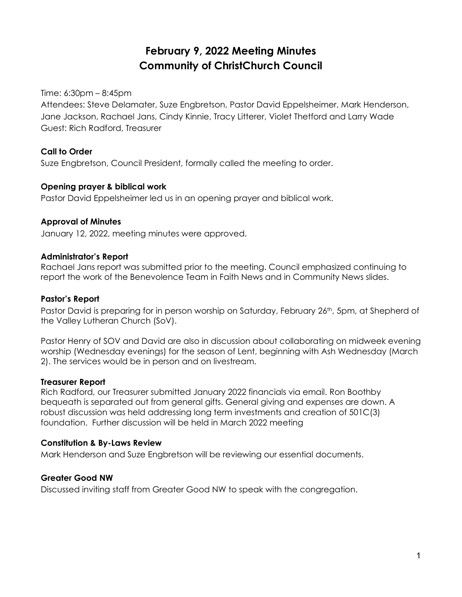# **February 9, 2022 Meeting Minutes Community of ChristChurch Council**

Time: 6:30pm – 8:45pm

Attendees: Steve Delamater, Suze Engbretson, Pastor David Eppelsheimer, Mark Henderson, Jane Jackson, Rachael Jans, Cindy Kinnie, Tracy Litterer, Violet Thetford and Larry Wade Guest: Rich Radford, Treasurer

#### **Call to Order**

Suze Engbretson, Council President, formally called the meeting to order.

#### **Opening prayer & biblical work**

Pastor David Eppelsheimer led us in an opening prayer and biblical work.

#### **Approval of Minutes**

January 12, 2022, meeting minutes were approved.

#### **Administrator's Report**

Rachael Jans report was submitted prior to the meeting. Council emphasized continuing to report the work of the Benevolence Team in Faith News and in Community News slides.

#### **Pastor's Report**

Pastor David is preparing for in person worship on Saturday, February 26<sup>th</sup>, 5pm, at Shepherd of the Valley Lutheran Church (SoV).

Pastor Henry of SOV and David are also in discussion about collaborating on midweek evening worship (Wednesday evenings) for the season of Lent, beginning with Ash Wednesday (March 2). The services would be in person and on livestream.

#### **Treasurer Report**

Rich Radford, our Treasurer submitted January 2022 financials via email. Ron Boothby bequeath is separated out from general gifts. General giving and expenses are down. A robust discussion was held addressing long term investments and creation of 501C(3) foundation. Further discussion will be held in March 2022 meeting

#### **Constitution & By-Laws Review**

Mark Henderson and Suze Engbretson will be reviewing our essential documents.

#### **Greater Good NW**

Discussed inviting staff from Greater Good NW to speak with the congregation.